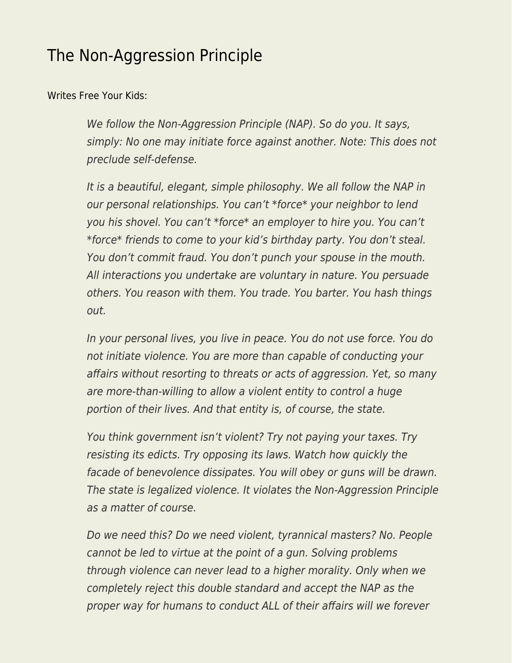## [The Non-Aggression Principle](https://everything-voluntary.com/the-non-aggression-principle)

[Writes Free Your Kids:](https://www.facebook.com/freeyourkids/posts/505054669536084)

We follow the Non-Aggression Principle (NAP). So do you. It says, simply: No one may initiate force against another. Note: This does not preclude self-defense.

It is a beautiful, elegant, simple philosophy. We all follow the NAP in our personal relationships. You can't \*force\* your neighbor to lend you his shovel. You can't \*force\* an employer to hire you. You can't \*force\* friends to come to your kid's birthday party. You don't steal. You don't commit fraud. You don't punch your spouse in the mouth. All interactions you undertake are voluntary in nature. You persuade others. You reason with them. You trade. You barter. You hash things out.

In your personal lives, you live in peace. You do not use force. You do not initiate violence. You are more than capable of conducting your affairs without resorting to threats or acts of aggression. Yet, so many are more-than-willing to allow a violent entity to control a huge portion of their lives. And that entity is, of course, the state.

You think government isn't violent? Try not paying your taxes. Try resisting its edicts. Try opposing its laws. Watch how quickly the facade of benevolence dissipates. You will obey or guns will be drawn. The state is legalized violence. It violates the Non-Aggression Principle as a matter of course.

Do we need this? Do we need violent, tyrannical masters? No. People cannot be led to virtue at the point of a gun. Solving problems through violence can never lead to a higher morality. Only when we completely reject this double standard and accept the NAP as the proper way for humans to conduct ALL of their affairs will we forever